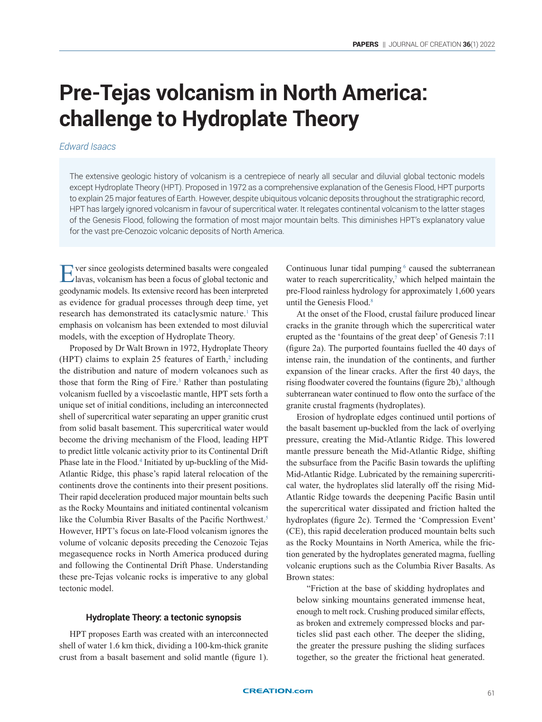# **Pre-Tejas volcanism in North America: challenge to Hydroplate Theory**

## *Edward Isaacs*

The extensive geologic history of volcanism is a centrepiece of nearly all secular and diluvial global tectonic models except Hydroplate Theory (HPT). Proposed in 1972 as a comprehensive explanation of the Genesis Flood, HPT purports to explain 25 major features of Earth. However, despite ubiquitous volcanic deposits throughout the stratigraphic record, HPT has largely ignored volcanism in favour of supercritical water. It relegates continental volcanism to the latter stages of the Genesis Flood, following the formation of most major mountain belts. This diminishes HPT's explanatory value for the vast pre-Cenozoic volcanic deposits of North America.

Ever since geologists determined basalts were congealed lavas, volcanism has been a focus of global tectonic and geodynamic models. Its extensive record has been interpreted as evidence for gradual processes through deep time, yet research has demonstrated its cataclysmic nature.<sup>1</sup> This emphasis on volcanism has been extended to most diluvial models, with the exception of Hydroplate Theory.

Proposed by Dr Walt Brown in 1972, Hydroplate Theory (HPT) claims to explain 25 features of Earth, $2$  including the distribution and nature of modern volcanoes such as those that form the Ring of Fire.<sup>3</sup> Rather than postulating volcanism fuelled by a viscoelastic mantle, HPT sets forth a unique set of initial conditions, including an interconnected shell of supercritical water separating an upper granitic crust from solid basalt basement. This supercritical water would become the driving mechanism of the Flood, leading HPT to predict little volcanic activity prior to its Continental Drift Phase late in the Flood.<sup>4</sup> Initiated by up-buckling of the Mid-Atlantic Ridge, this phase's rapid lateral relocation of the continents drove the continents into their present positions. Their rapid deceleration produced major mountain belts such as the Rocky Mountains and initiated continental volcanism like the Columbia River Basalts of the Pacific Northwest.<sup>5</sup> However, HPT's focus on late-Flood volcanism ignores the volume of volcanic deposits preceding the Cenozoic Tejas megasequence rocks in North America produced during and following the Continental Drift Phase. Understanding these pre-Tejas volcanic rocks is imperative to any global tectonic model.

#### **Hydroplate Theory: a tectonic synopsis**

HPT proposes Earth was created with an interconnected shell of water 1.6 km thick, dividing a 100-km-thick granite crust from a basalt basement and solid mantle (figure 1).

Continuous lunar tidal pumping  $6$  caused the subterranean water to reach supercriticality,<sup>7</sup> which helped maintain the pre-Flood rainless hydrology for approximately 1,600 years until the Genesis Flood.<sup>8</sup>

At the onset of the Flood, crustal failure produced linear cracks in the granite through which the supercritical water erupted as the 'fountains of the great deep' of Genesis 7:11 (figure 2a). The purported fountains fuelled the 40 days of intense rain, the inundation of the continents, and further expansion of the linear cracks. After the first 40 days, the rising floodwater covered the fountains (figure 2b),<sup>9</sup> although subterranean water continued to flow onto the surface of the granite crustal fragments (hydroplates).

Erosion of hydroplate edges continued until portions of the basalt basement up-buckled from the lack of overlying pressure, creating the Mid-Atlantic Ridge. This lowered mantle pressure beneath the Mid-Atlantic Ridge, shifting the subsurface from the Pacific Basin towards the uplifting Mid-Atlantic Ridge. Lubricated by the remaining supercritical water, the hydroplates slid laterally off the rising Mid-Atlantic Ridge towards the deepening Pacific Basin until the supercritical water dissipated and friction halted the hydroplates (figure 2c). Termed the 'Compression Event' (CE), this rapid deceleration produced mountain belts such as the Rocky Mountains in North America, while the friction generated by the hydroplates generated magma, fuelling volcanic eruptions such as the Columbia River Basalts. As Brown states:

"Friction at the base of skidding hydroplates and below sinking mountains generated immense heat, enough to melt rock. Crushing produced similar effects, as broken and extremely compressed blocks and particles slid past each other. The deeper the sliding, the greater the pressure pushing the sliding surfaces together, so the greater the frictional heat generated.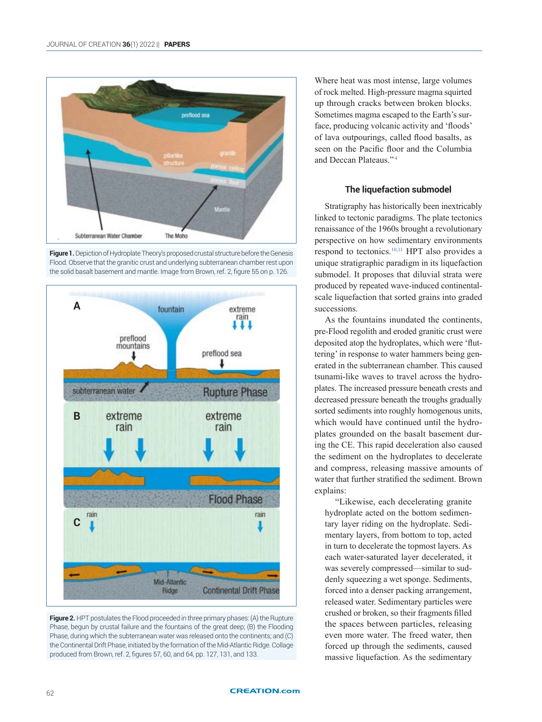





**Figure 2.** HPT postulates the Flood proceeded in three primary phases: (A) the Rupture Phase, begun by crustal failure and the fountains of the great deep; (B) the Flooding Phase, during which the subterranean water was released onto the continents; and (C) the Continental Drift Phase, initiated by the formation of the Mid-Atlantic Ridge. Collage produced from Brown, ref. 2, figures 57, 60, and 64, pp. 127, 131, and 133.

Where heat was most intense, large volumes of rock melted. High-pressure magma squirted up through cracks between broken blocks. Sometimes magma escaped to the Earth's surface, producing volcanic activity and 'floods' of lava outpourings, called flood basalts, as seen on the Pacific floor and the Columbia and Deccan Plateaus." <sup>4</sup>

## **The liquefaction submodel**

Stratigraphy has historically been inextricably linked to tectonic paradigms. The plate tectonics renaissance of the 1960s brought a revolutionary perspective on how sedimentary environments respond to tectonics.10,11 HPT also provides a unique stratigraphic paradigm in its liquefaction submodel. It proposes that diluvial strata were produced by repeated wave-induced continentalscale liquefaction that sorted grains into graded successions.

As the fountains inundated the continents, pre-Flood regolith and eroded granitic crust were deposited atop the hydroplates, which were 'fluttering' in response to water hammers being generated in the subterranean chamber. This caused tsunami-like waves to travel across the hydroplates. The increased pressure beneath crests and decreased pressure beneath the troughs gradually sorted sediments into roughly homogenous units, which would have continued until the hydroplates grounded on the basalt basement during the CE. This rapid deceleration also caused the sediment on the hydroplates to decelerate and compress, releasing massive amounts of water that further stratified the sediment. Brown explains:

"Likewise, each decelerating granite hydroplate acted on the bottom sedimentary layer riding on the hydroplate. Sedimentary layers, from bottom to top, acted in turn to decelerate the topmost layers. As each water-saturated layer decelerated, it was severely compressed—similar to suddenly squeezing a wet sponge. Sediments, forced into a denser packing arrangement, released water. Sedimentary particles were crushed or broken, so their fragments filled the spaces between particles, releasing even more water. The freed water, then forced up through the sediments, caused massive liquefaction. As the sedimentary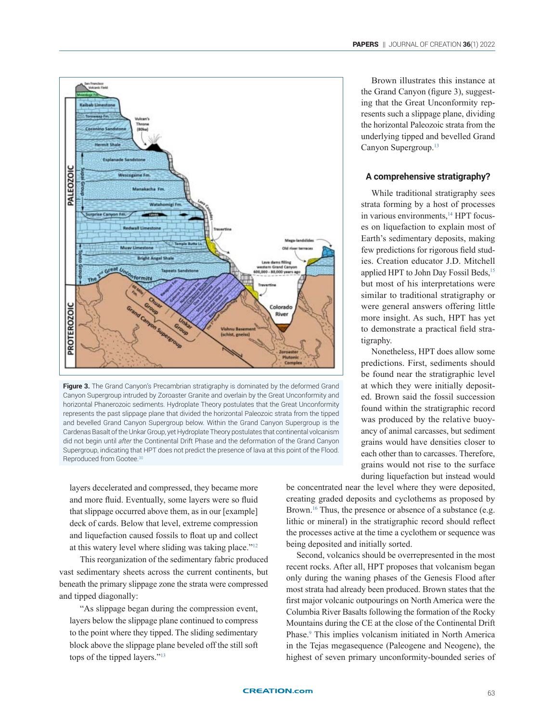

Brown illustrates this instance at the Grand Canyon (figure 3), suggesting that the Great Unconformity represents such a slippage plane, dividing the horizontal Paleozoic strata from the underlying tipped and bevelled Grand Canyon Supergroup.13

PAPERS || JOURNAL OF CREATION **36**(1) 2022

## **A comprehensive stratigraphy?**

While traditional stratigraphy sees strata forming by a host of processes in various environments,<sup>14</sup> HPT focuses on liquefaction to explain most of Earth's sedimentary deposits, making few predictions for rigorous field studies. Creation educator J.D. Mitchell applied HPT to John Day Fossil Beds,<sup>15</sup> but most of his interpretations were similar to traditional stratigraphy or were general answers offering little more insight. As such, HPT has yet to demonstrate a practical field stratigraphy.

Nonetheless, HPT does allow some predictions. First, sediments should be found near the stratigraphic level at which they were initially deposited. Brown said the fossil succession found within the stratigraphic record was produced by the relative buoyancy of animal carcasses, but sediment grains would have densities closer to each other than to carcasses. Therefore, grains would not rise to the surface during liquefaction but instead would

**Figure 3.** The Grand Canyon's Precambrian stratigraphy is dominated by the deformed Grand Canyon Supergroup intruded by Zoroaster Granite and overlain by the Great Unconformity and horizontal Phanerozoic sediments. Hydroplate Theory postulates that the Great Unconformity represents the past slippage plane that divided the horizontal Paleozoic strata from the tipped and bevelled Grand Canyon Supergroup below. Within the Grand Canyon Supergroup is the Cardenas Basalt of the Unkar Group, yet Hydroplate Theory postulates that continental volcanism did not begin until *after* the Continental Drift Phase and the deformation of the Grand Canyon Supergroup, indicating that HPT does not predict the presence of lava at this point of the Flood. Reproduced from Gootee.<sup>30</sup>

layers decelerated and compressed, they became more and more fluid. Eventually, some layers were so fluid that slippage occurred above them, as in our [example] deck of cards. Below that level, extreme compression and liquefaction caused fossils to float up and collect at this watery level where sliding was taking place."<sup>12</sup>

This reorganization of the sedimentary fabric produced vast sedimentary sheets across the current continents, but beneath the primary slippage zone the strata were compressed and tipped diagonally:

"As slippage began during the compression event, layers below the slippage plane continued to compress to the point where they tipped. The sliding sedimentary block above the slippage plane beveled off the still soft tops of the tipped layers."13

be concentrated near the level where they were deposited, creating graded deposits and cyclothems as proposed by Brown.<sup>16</sup> Thus, the presence or absence of a substance (e.g. lithic or mineral) in the stratigraphic record should reflect the processes active at the time a cyclothem or sequence was being deposited and initially sorted.

Second, volcanics should be overrepresented in the most recent rocks. After all, HPT proposes that volcanism began only during the waning phases of the Genesis Flood after most strata had already been produced. Brown states that the first major volcanic outpourings on North America were the Columbia River Basalts following the formation of the Rocky Mountains during the CE at the close of the Continental Drift Phase.<sup>9</sup> This implies volcanism initiated in North America in the Tejas megasequence (Paleogene and Neogene), the highest of seven primary unconformity-bounded series of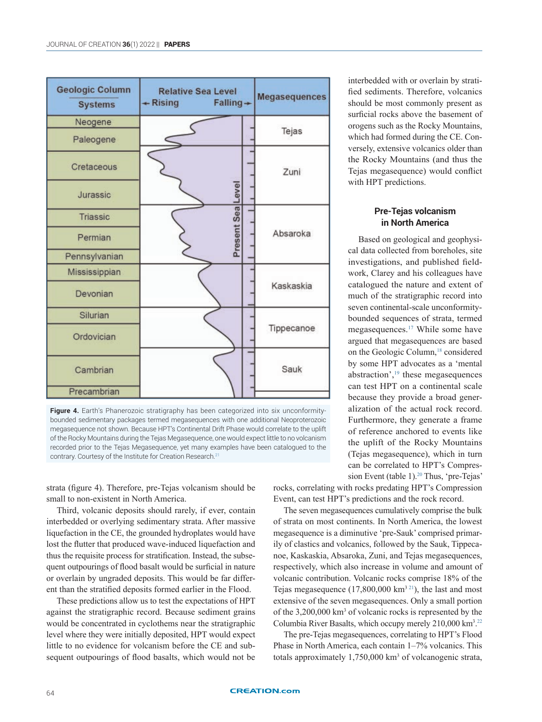| Geologic Column<br><b>Systems</b> | <b>Relative Sea Level</b><br>$\leftarrow$ Rising<br>$Falling +$<br><b>Contract Contract Contract Contract Contract Contract Contract Contract Contract Contract Contract Contract Co</b> |  | Megasequences |
|-----------------------------------|------------------------------------------------------------------------------------------------------------------------------------------------------------------------------------------|--|---------------|
| Neogene                           |                                                                                                                                                                                          |  | Tejas         |
| Paleogene                         |                                                                                                                                                                                          |  |               |
| Cretaceous                        |                                                                                                                                                                                          |  | Zuni          |
| Jurassic                          | Present SealLevel                                                                                                                                                                        |  |               |
| Triassic                          |                                                                                                                                                                                          |  |               |
| Permian                           |                                                                                                                                                                                          |  | Absaroka      |
| Pennsylvanian                     |                                                                                                                                                                                          |  |               |
| Mississippian                     |                                                                                                                                                                                          |  |               |
| Devonian                          |                                                                                                                                                                                          |  | Kaskaskia     |
| Silurian                          |                                                                                                                                                                                          |  |               |
| Ordovician                        |                                                                                                                                                                                          |  | Tippecanoe    |
| Cambrian                          |                                                                                                                                                                                          |  | Sauk          |
| Precambrian                       |                                                                                                                                                                                          |  |               |

Figure 4. Earth's Phanerozoic stratigraphy has been categorized into six unconformitybounded sedimentary packages termed megasequences with one additional Neoproterozoic megasequence not shown. Because HPT's Continental Drift Phase would correlate to the uplift of the Rocky Mountains during the Tejas Megasequence, one would expect little to no volcanism recorded prior to the Tejas Megasequence, yet many examples have been catalogued to the contrary. Courtesy of the Institute for Creation Research.<sup>21</sup>

strata (figure 4). Therefore, pre-Tejas volcanism should be small to non-existent in North America.

Third, volcanic deposits should rarely, if ever, contain interbedded or overlying sedimentary strata. After massive liquefaction in the CE, the grounded hydroplates would have lost the flutter that produced wave-induced liquefaction and thus the requisite process for stratification. Instead, the subsequent outpourings of flood basalt would be surficial in nature or overlain by ungraded deposits. This would be far different than the stratified deposits formed earlier in the Flood.

These predictions allow us to test the expectations of HPT against the stratigraphic record. Because sediment grains would be concentrated in cyclothems near the stratigraphic level where they were initially deposited, HPT would expect little to no evidence for volcanism before the CE and subsequent outpourings of flood basalts, which would not be

interbedded with or overlain by stratified sediments. Therefore, volcanics should be most commonly present as surficial rocks above the basement of orogens such as the Rocky Mountains, which had formed during the CE. Conversely, extensive volcanics older than the Rocky Mountains (and thus the Tejas megasequence) would conflict with HPT predictions.

## **Pre-Tejas volcanism in North America**

Based on geological and geophysical data collected from boreholes, site investigations, and published fieldwork, Clarey and his colleagues have catalogued the nature and extent of much of the stratigraphic record into seven continental-scale unconformitybounded sequences of strata, termed megasequences.17 While some have argued that megasequences are based on the Geologic Column,<sup>18</sup> considered by some HPT advocates as a 'mental abstraction',19 these megasequences can test HPT on a continental scale because they provide a broad generalization of the actual rock record. Furthermore, they generate a frame of reference anchored to events like the uplift of the Rocky Mountains (Tejas megasequence), which in turn can be correlated to HPT's Compression Event (table 1).<sup>20</sup> Thus, 'pre-Tejas'

rocks, correlating with rocks predating HPT's Compression Event, can test HPT's predictions and the rock record.

The seven megasequences cumulatively comprise the bulk of strata on most continents. In North America, the lowest megasequence is a diminutive 'pre-Sauk' comprised primarily of clastics and volcanics, followed by the Sauk, Tippecanoe, Kaskaskia, Absaroka, Zuni, and Tejas megasequences, respectively, which also increase in volume and amount of volcanic contribution. Volcanic rocks comprise 18% of the Tejas megasequence  $(17,800,000 \text{ km}^{321})$ , the last and most extensive of the seven megasequences. Only a small portion of the 3,200,000 km<sup>3</sup> of volcanic rocks is represented by the Columbia River Basalts, which occupy merely 210,000 km<sup>3</sup> . 22

The pre-Tejas megasequences, correlating to HPT's Flood Phase in North America, each contain 1–7% volcanics. This totals approximately 1,750,000 km<sup>3</sup> of volcanogenic strata,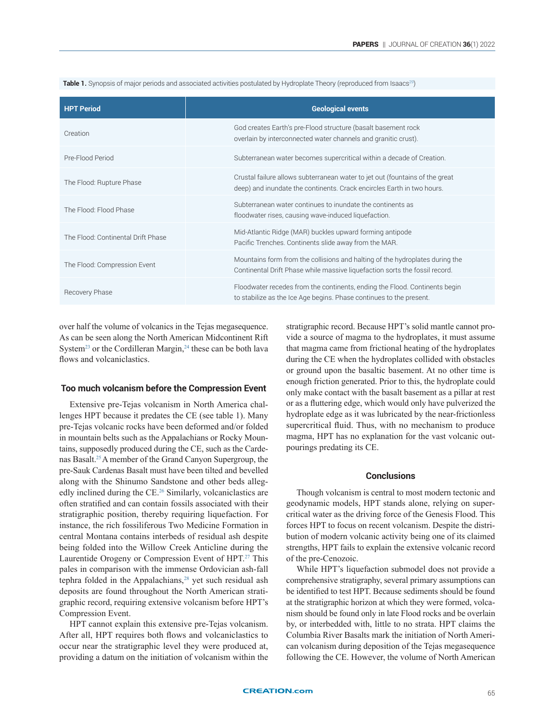Table 1. Synopsis of major periods and associated activities postulated by Hydroplate Theory (reproduced from Isaacs<sup>29</sup>)

| <b>HPT Period</b>                  | <b>Geological events</b>                                                                                                                                    |  |
|------------------------------------|-------------------------------------------------------------------------------------------------------------------------------------------------------------|--|
| Creation                           | God creates Earth's pre-Flood structure (basalt basement rock<br>overlain by interconnected water channels and granitic crust).                             |  |
| Pre-Flood Period                   | Subterranean water becomes supercritical within a decade of Creation.                                                                                       |  |
| The Flood: Rupture Phase           | Crustal failure allows subterranean water to jet out (fountains of the great<br>deep) and inundate the continents. Crack encircles Earth in two hours.      |  |
| The Flood: Flood Phase             | Subterranean water continues to inundate the continents as<br>floodwater rises, causing wave-induced liquefaction.                                          |  |
| The Flood: Continental Drift Phase | Mid-Atlantic Ridge (MAR) buckles upward forming antipode<br>Pacific Trenches. Continents slide away from the MAR.                                           |  |
| The Flood: Compression Event       | Mountains form from the collisions and halting of the hydroplates during the<br>Continental Drift Phase while massive liquefaction sorts the fossil record. |  |
| Recovery Phase                     | Floodwater recedes from the continents, ending the Flood. Continents begin<br>to stabilize as the Ice Age begins. Phase continues to the present.           |  |

over half the volume of volcanics in the Tejas megasequence. As can be seen along the North American Midcontinent Rift System<sup>23</sup> or the Cordilleran Margin,<sup>24</sup> these can be both lava flows and volcaniclastics.

### **Too much volcanism before the Compression Event**

Extensive pre-Tejas volcanism in North America challenges HPT because it predates the CE (see table 1). Many pre-Tejas volcanic rocks have been deformed and/or folded in mountain belts such as the Appalachians or Rocky Mountains, supposedly produced during the CE, such as the Cardenas Basalt.25A member of the Grand Canyon Supergroup, the pre-Sauk Cardenas Basalt must have been tilted and bevelled along with the Shinumo Sandstone and other beds allegedly inclined during the CE.<sup>26</sup> Similarly, volcaniclastics are often stratified and can contain fossils associated with their stratigraphic position, thereby requiring liquefaction. For instance, the rich fossiliferous Two Medicine Formation in central Montana contains interbeds of residual ash despite being folded into the Willow Creek Anticline during the Laurentide Orogeny or Compression Event of HPT.<sup>27</sup> This pales in comparison with the immense Ordovician ash-fall tephra folded in the Appalachians,<sup>28</sup> yet such residual ash deposits are found throughout the North American stratigraphic record, requiring extensive volcanism before HPT's Compression Event.

HPT cannot explain this extensive pre-Tejas volcanism. After all, HPT requires both flows and volcaniclastics to occur near the stratigraphic level they were produced at, providing a datum on the initiation of volcanism within the stratigraphic record. Because HPT's solid mantle cannot provide a source of magma to the hydroplates, it must assume that magma came from frictional heating of the hydroplates during the CE when the hydroplates collided with obstacles or ground upon the basaltic basement. At no other time is enough friction generated. Prior to this, the hydroplate could only make contact with the basalt basement as a pillar at rest or as a fluttering edge, which would only have pulverized the hydroplate edge as it was lubricated by the near-frictionless supercritical fluid. Thus, with no mechanism to produce magma, HPT has no explanation for the vast volcanic outpourings predating its CE.

#### **Conclusions**

Though volcanism is central to most modern tectonic and geodynamic models, HPT stands alone, relying on supercritical water as the driving force of the Genesis Flood. This forces HPT to focus on recent volcanism. Despite the distribution of modern volcanic activity being one of its claimed strengths, HPT fails to explain the extensive volcanic record of the pre-Cenozoic.

While HPT's liquefaction submodel does not provide a comprehensive stratigraphy, several primary assumptions can be identified to test HPT. Because sediments should be found at the stratigraphic horizon at which they were formed, volcanism should be found only in late Flood rocks and be overlain by, or interbedded with, little to no strata. HPT claims the Columbia River Basalts mark the initiation of North American volcanism during deposition of the Tejas megasequence following the CE. However, the volume of North American